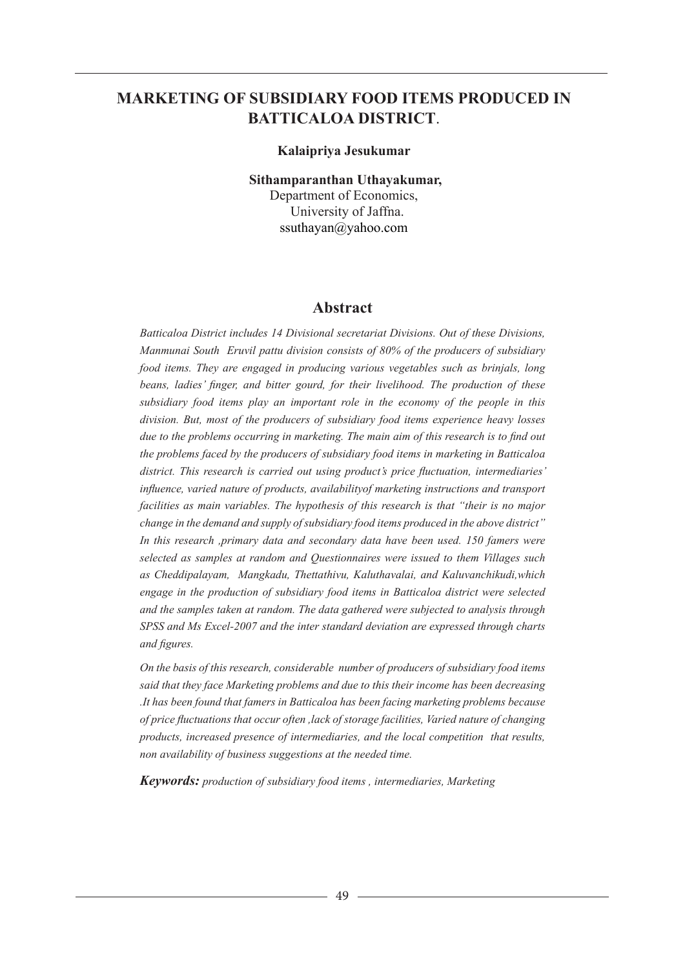# **MARKETING OF SUBSIDIARY FOOD ITEMS PRODUCED IN BATTICALOA DISTRICT**.

#### **Kalaipriya Jesukumar**

**Sithamparanthan Uthayakumar,**

Department of Economics, University of Jaffna. ssuthayan@yahoo.com

#### **Abstract**

*Batticaloa District includes 14 Divisional secretariat Divisions. Out of these Divisions, Manmunai South Eruvil pattu division consists of 80% of the producers of subsidiary food items. They are engaged in producing various vegetables such as brinjals, long beans, ladies' finger, and bitter gourd, for their livelihood. The production of these subsidiary food items play an important role in the economy of the people in this division. But, most of the producers of subsidiary food items experience heavy losses due to the problems occurring in marketing. The main aim of this research is to find out the problems faced by the producers of subsidiary food items in marketing in Batticaloa district. This research is carried out using product's price fluctuation, intermediaries' influence, varied nature of products, availabilityof marketing instructions and transport facilities as main variables. The hypothesis of this research is that "their is no major change in the demand and supply of subsidiary food items produced in the above district" In this research ,primary data and secondary data have been used. 150 famers were selected as samples at random and Questionnaires were issued to them Villages such as Cheddipalayam, Mangkadu, Thettathivu, Kaluthavalai, and Kaluvanchikudi,which engage in the production of subsidiary food items in Batticaloa district were selected and the samples taken at random. The data gathered were subjected to analysis through SPSS and Ms Excel-2007 and the inter standard deviation are expressed through charts and figures.* 

*On the basis of this research, considerable number of producers of subsidiary food items said that they face Marketing problems and due to this their income has been decreasing .It has been found that famers in Batticaloa has been facing marketing problems because of price fluctuations that occur often ,lack of storage facilities, Varied nature of changing products, increased presence of intermediaries, and the local competition that results, non availability of business suggestions at the needed time.*

*Keywords: production of subsidiary food items , intermediaries, Marketing*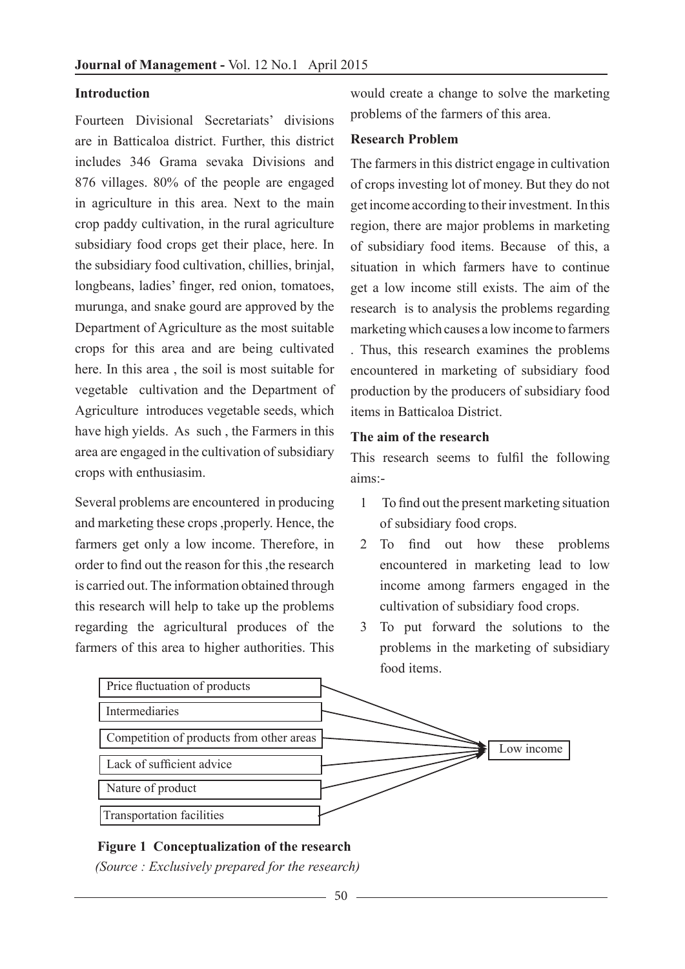### **Introduction**

Fourteen Divisional Secretariats' divisions are in Batticaloa district. Further, this district includes 346 Grama sevaka Divisions and 876 villages. 80% of the people are engaged in agriculture in this area. Next to the main crop paddy cultivation, in the rural agriculture subsidiary food crops get their place, here. In the subsidiary food cultivation, chillies, brinjal, longbeans, ladies' finger, red onion, tomatoes, murunga, and snake gourd are approved by the Department of Agriculture as the most suitable crops for this area and are being cultivated here. In this area , the soil is most suitable for vegetable cultivation and the Department of Agriculture introduces vegetable seeds, which have high yields. As such , the Farmers in this area are engaged in the cultivation of subsidiary crops with enthusiasim.

Several problems are encountered in producing and marketing these crops ,properly. Hence, the farmers get only a low income. Therefore, in order to find out the reason for this ,the research is carried out. The information obtained through this research will help to take up the problems regarding the agricultural produces of the farmers of this area to higher authorities. This would create a change to solve the marketing problems of the farmers of this area.

#### **Research Problem**

The farmers in this district engage in cultivation of crops investing lot of money. But they do not get income according to their investment. In this region, there are major problems in marketing of subsidiary food items. Because of this, a situation in which farmers have to continue get a low income still exists. The aim of the research is to analysis the problems regarding marketing which causes a low income to farmers

. Thus, this research examines the problems encountered in marketing of subsidiary food production by the producers of subsidiary food items in Batticaloa District.

### **The aim of the research**

This research seems to fulfil the following aims:-

- 1 To find out the present marketing situation of subsidiary food crops.
- 2 To find out how these problems encountered in marketing lead to low income among farmers engaged in the cultivation of subsidiary food crops.
- 3 To put forward the solutions to the problems in the marketing of subsidiary food items.



#### **Figure 1 Conceptualization of the research**

*(Source : Exclusively prepared for the research)*

50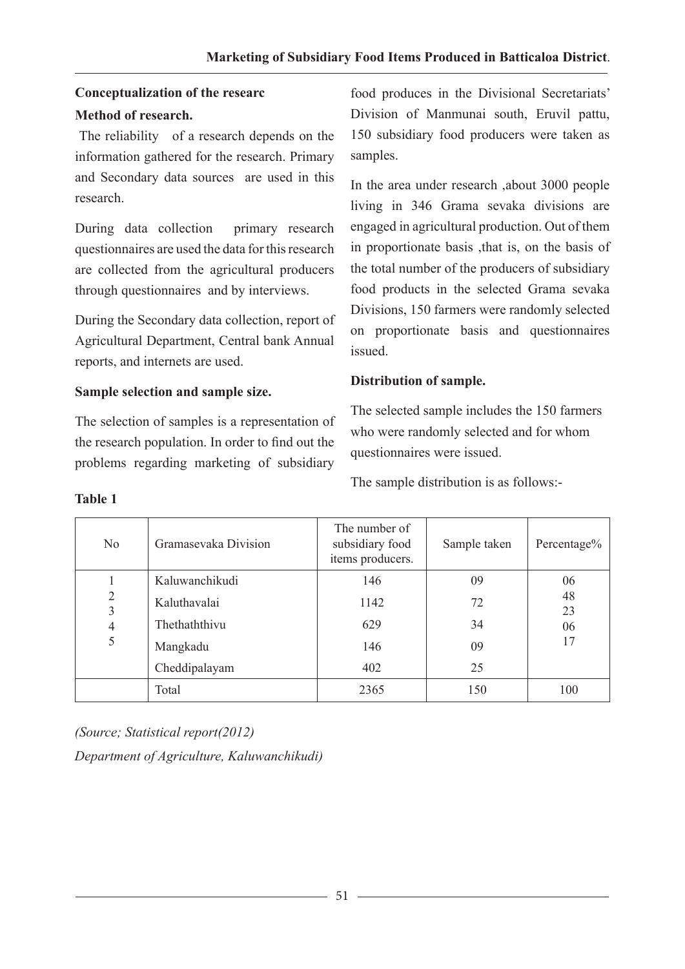# **Conceptualization of the researc Method of research.**

 The reliability of a research depends on the information gathered for the research. Primary and Secondary data sources are used in this research.

During data collection primary research questionnaires are used the data for this research are collected from the agricultural producers through questionnaires and by interviews.

During the Secondary data collection, report of Agricultural Department, Central bank Annual reports, and internets are used.

# **Sample selection and sample size.**

The selection of samples is a representation of the research population. In order to find out the problems regarding marketing of subsidiary

food produces in the Divisional Secretariats' Division of Manmunai south, Eruvil pattu, 150 subsidiary food producers were taken as samples.

In the area under research ,about 3000 people living in 346 Grama sevaka divisions are engaged in agricultural production. Out of them in proportionate basis ,that is, on the basis of the total number of the producers of subsidiary food products in the selected Grama sevaka Divisions, 150 farmers were randomly selected on proportionate basis and questionnaires issued.

# **Distribution of sample.**

The selected sample includes the 150 farmers who were randomly selected and for whom questionnaires were issued.

The sample distribution is as follows:-

| No                                         | Gramasevaka Division | The number of<br>subsidiary food<br>items producers. | Sample taken | Percentage% |  |
|--------------------------------------------|----------------------|------------------------------------------------------|--------------|-------------|--|
|                                            | Kaluwanchikudi       | 146                                                  | 09           | 06          |  |
| $\overline{2}$<br>3<br>$\overline{4}$<br>5 | Kaluthavalai         | 1142                                                 | 72           | 48<br>23    |  |
|                                            | Thethaththivu        | 629                                                  | 34           | 06          |  |
|                                            | Mangkadu             | 146                                                  | 09           | 17          |  |
|                                            | Cheddipalayam        | 402                                                  | 25           |             |  |
|                                            | Total                | 2365                                                 | 150          | 100         |  |

**Table 1**

*(Source; Statistical report(2012)*

*Department of Agriculture, Kaluwanchikudi)*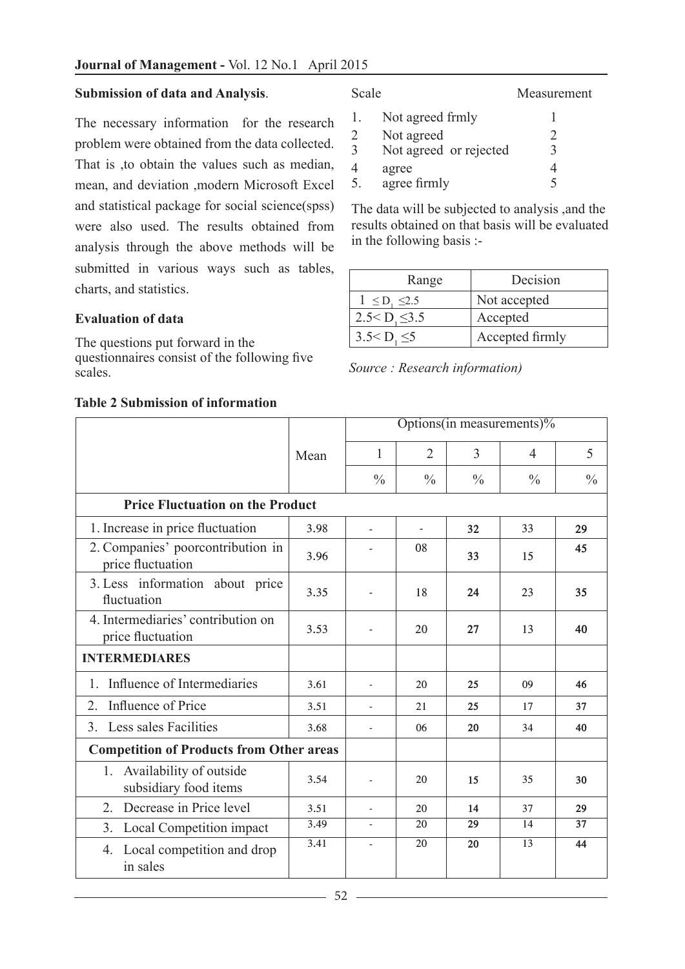### **Submission of data and Analysis**.

The necessary information for the research problem were obtained from the data collected. That is ,to obtain the values such as median, mean, and deviation ,modern Microsoft Excel and statistical package for social science(spss) were also used. The results obtained from analysis through the above methods will be submitted in various ways such as tables, charts, and statistics.

### **Evaluation of data**

The questions put forward in the questionnaires consist of the following five scales.

#### Scale Measurement

|   | Not agreed frmly       |   |
|---|------------------------|---|
| 2 | Not agreed             |   |
| 3 | Not agreed or rejected |   |
| 4 | agree                  |   |
| 5 | agree firmly           | ς |

The data will be subjected to analysis ,and the results obtained on that basis will be evaluated in the following basis :-

| Range                  | Decision        |
|------------------------|-----------------|
| $1 \le D_1 \le 2.5$    | Not accepted    |
| $2.5 < D$ , $\leq 3.5$ | Accepted        |
| $3.5 < D$ , $\leq 5$   | Accepted firmly |
|                        |                 |

*Source : Research information)*

|                                                         |      | Options(in measurements)% |                |                |               |               |
|---------------------------------------------------------|------|---------------------------|----------------|----------------|---------------|---------------|
|                                                         | Mean | 1                         | $\overline{2}$ | $\overline{3}$ | 4             | 5             |
|                                                         |      | $\frac{0}{0}$             | $\frac{0}{0}$  | $\frac{0}{0}$  | $\frac{0}{0}$ | $\frac{0}{0}$ |
| <b>Price Fluctuation on the Product</b>                 |      |                           |                |                |               |               |
| 1. Increase in price fluctuation                        | 3.98 |                           | ÷,             | 32             | 33            | 29            |
| 2. Companies' poorcontribution in<br>price fluctuation  | 3.96 |                           | 08             | 33             | 15            | 45            |
| 3. Less information about price<br>fluctuation          | 3.35 |                           | 18             | 24             | 23            | 35            |
| 4. Intermediaries' contribution on<br>price fluctuation | 3.53 |                           | 20             | 27             | 13            | 40            |
| <b>INTERMEDIARES</b>                                    |      |                           |                |                |               |               |
| Influence of Intermediaries<br>$\mathbf{1}$ .           | 3.61 |                           | 20             | 25             | 09            | 46            |
| Influence of Price<br>2.                                | 3.51 | $\overline{\phantom{a}}$  | 21             | 25             | 17            | 37            |
| Less sales Facilities<br>3 <sub>1</sub>                 | 3.68 |                           | 06             | 20             | 34            | 40            |
| <b>Competition of Products from Other areas</b>         |      |                           |                |                |               |               |
| Availability of outside<br>1.<br>subsidiary food items  | 3.54 | $\overline{a}$            | 20             | 15             | 35            | 30            |
| Decrease in Price level<br>2.                           | 3.51 |                           | 20             | 14             | 37            | 29            |
| Local Competition impact<br>3.                          | 3.49 | $\overline{\phantom{a}}$  | 20             | 29             | 14            | 37            |
| 4. Local competition and drop<br>in sales               | 3.41 | $\overline{\phantom{a}}$  | 20             | 20             | 13            | 44            |

### **Table 2 Submission of information**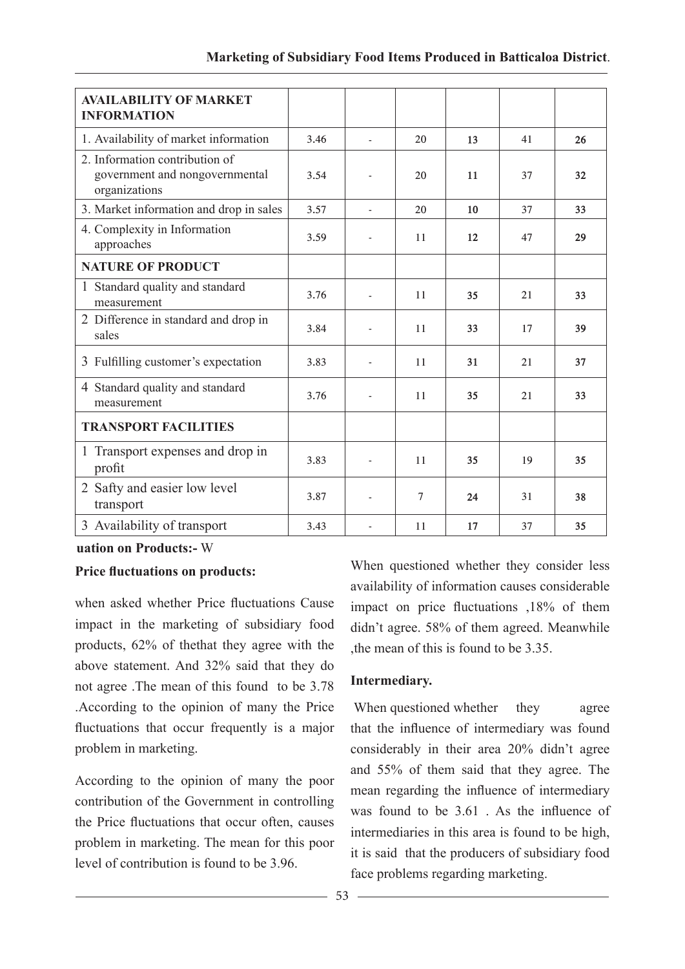| <b>AVAILABILITY OF MARKET</b><br><b>INFORMATION</b>                               |      |                          |                |    |    |    |
|-----------------------------------------------------------------------------------|------|--------------------------|----------------|----|----|----|
| 1. Availability of market information                                             | 3.46 | $\overline{a}$           | 20             | 13 | 41 | 26 |
| 2. Information contribution of<br>government and nongovernmental<br>organizations | 3.54 |                          | 20             | 11 | 37 | 32 |
| 3. Market information and drop in sales                                           | 3.57 | $\overline{a}$           | 20             | 10 | 37 | 33 |
| 4. Complexity in Information<br>approaches                                        | 3.59 | $\overline{\phantom{a}}$ | 11             | 12 | 47 | 29 |
| <b>NATURE OF PRODUCT</b>                                                          |      |                          |                |    |    |    |
| 1 Standard quality and standard<br>measurement                                    | 3.76 |                          | 11             | 35 | 21 | 33 |
| 2 Difference in standard and drop in<br>sales                                     | 3.84 |                          | 11             | 33 | 17 | 39 |
| 3 Fulfilling customer's expectation                                               | 3.83 |                          | 11             | 31 | 21 | 37 |
| 4 Standard quality and standard<br>measurement                                    | 3.76 |                          | 11             | 35 | 21 | 33 |
| <b>TRANSPORT FACILITIES</b>                                                       |      |                          |                |    |    |    |
| 1 Transport expenses and drop in<br>profit                                        | 3.83 |                          | 11             | 35 | 19 | 35 |
| 2 Safty and easier low level<br>transport                                         | 3.87 |                          | $\overline{7}$ | 24 | 31 | 38 |
| 3 Availability of transport                                                       | 3.43 |                          | 11             | 17 | 37 | 35 |

#### **uation on Products:-** W

### **Price fluctuations on products:**

when asked whether Price fluctuations Cause impact in the marketing of subsidiary food products, 62% of thethat they agree with the above statement. And 32% said that they do not agree .The mean of this found to be 3.78 .According to the opinion of many the Price fluctuations that occur frequently is a major problem in marketing.

According to the opinion of many the poor contribution of the Government in controlling the Price fluctuations that occur often, causes problem in marketing. The mean for this poor level of contribution is found to be 3.96.

When questioned whether they consider less availability of information causes considerable impact on price fluctuations ,18% of them didn't agree. 58% of them agreed. Meanwhile ,the mean of this is found to be 3.35.

### **Intermediary.**

When questioned whether they agree that the influence of intermediary was found considerably in their area 20% didn't agree and 55% of them said that they agree. The mean regarding the influence of intermediary was found to be 3.61 . As the influence of intermediaries in this area is found to be high, it is said that the producers of subsidiary food face problems regarding marketing.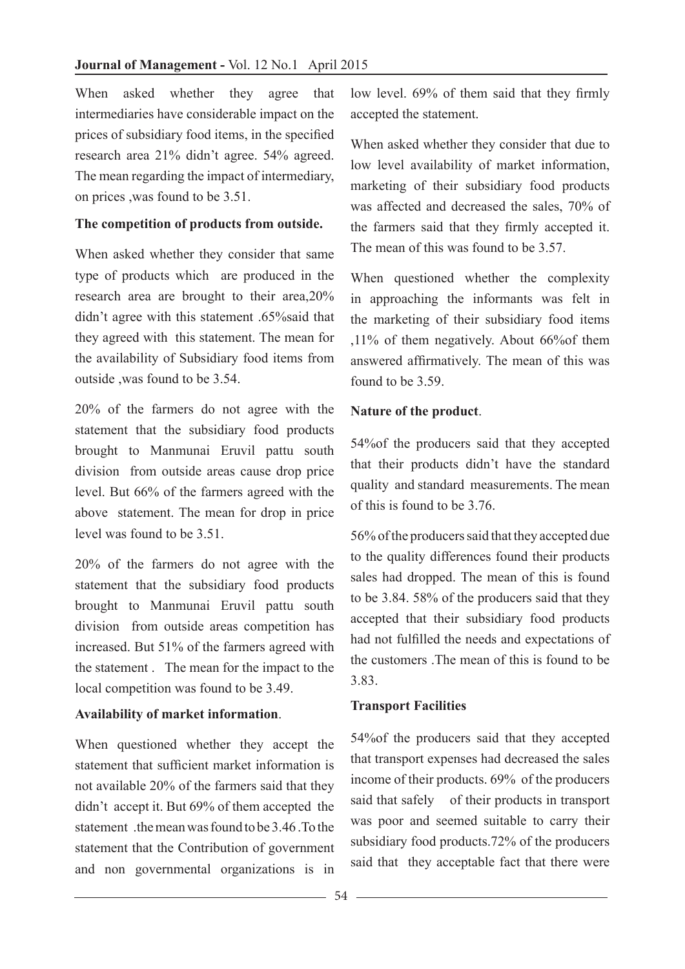When asked whether they agree that intermediaries have considerable impact on the prices of subsidiary food items, in the specified research area 21% didn't agree. 54% agreed. The mean regarding the impact of intermediary, on prices ,was found to be 3.51.

## **The competition of products from outside.**

When asked whether they consider that same type of products which are produced in the research area are brought to their area,20% didn't agree with this statement .65%said that they agreed with this statement. The mean for the availability of Subsidiary food items from outside ,was found to be 3.54.

20% of the farmers do not agree with the statement that the subsidiary food products brought to Manmunai Eruvil pattu south division from outside areas cause drop price level. But 66% of the farmers agreed with the above statement. The mean for drop in price level was found to be 3.51.

20% of the farmers do not agree with the statement that the subsidiary food products brought to Manmunai Eruvil pattu south division from outside areas competition has increased. But 51% of the farmers agreed with the statement . The mean for the impact to the local competition was found to be 3.49.

# **Availability of market information**.

When questioned whether they accept the statement that sufficient market information is not available 20% of the farmers said that they didn't accept it. But 69% of them accepted the statement the mean was found to be 3.46. To the statement that the Contribution of government and non governmental organizations is in low level. 69% of them said that they firmly accepted the statement.

When asked whether they consider that due to low level availability of market information, marketing of their subsidiary food products was affected and decreased the sales, 70% of the farmers said that they firmly accepted it. The mean of this was found to be 3.57.

When questioned whether the complexity in approaching the informants was felt in the marketing of their subsidiary food items ,11% of them negatively. About 66%of them answered affirmatively. The mean of this was found to be 3.59.

# **Nature of the product**.

54%of the producers said that they accepted that their products didn't have the standard quality and standard measurements. The mean of this is found to be 3.76.

56% of the producers said that they accepted due to the quality differences found their products sales had dropped. The mean of this is found to be 3.84. 58% of the producers said that they accepted that their subsidiary food products had not fulfilled the needs and expectations of the customers .The mean of this is found to be 3.83.

# **Transport Facilities**

54%of the producers said that they accepted that transport expenses had decreased the sales income of their products. 69% of the producers said that safely of their products in transport was poor and seemed suitable to carry their subsidiary food products.72% of the producers said that they acceptable fact that there were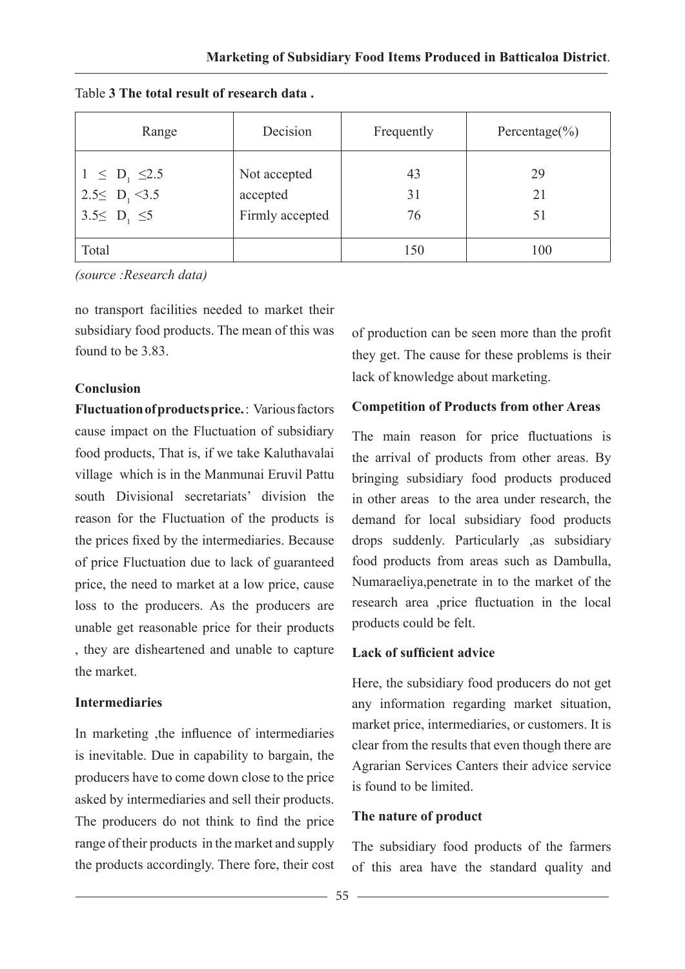| Range                                                        | Decision                                    | Frequently     | Percentage $(\% )$ |
|--------------------------------------------------------------|---------------------------------------------|----------------|--------------------|
| $1 \le D_1 \le 2.5$<br>2.5 $D_1$ <3.5<br>$3.5 \le D_1 \le 5$ | Not accepted<br>accepted<br>Firmly accepted | 43<br>31<br>76 | 29<br>21<br>51     |
| Total                                                        |                                             | 150            | 100                |

Table **3 The total result of research data .**

*(source :Research data)*

no transport facilities needed to market their subsidiary food products. The mean of this was found to be 3.83.

#### **Conclusion**

**Fluctuation of products price.** : Various factors cause impact on the Fluctuation of subsidiary food products, That is, if we take Kaluthavalai village which is in the Manmunai Eruvil Pattu south Divisional secretariats' division the reason for the Fluctuation of the products is the prices fixed by the intermediaries. Because of price Fluctuation due to lack of guaranteed price, the need to market at a low price, cause loss to the producers. As the producers are unable get reasonable price for their products , they are disheartened and unable to capture the market.

### **Intermediaries**

In marketing ,the influence of intermediaries is inevitable. Due in capability to bargain, the producers have to come down close to the price asked by intermediaries and sell their products. The producers do not think to find the price range of their products in the market and supply the products accordingly. There fore, their cost

of production can be seen more than the profit they get. The cause for these problems is their lack of knowledge about marketing.

### **Competition of Products from other Areas**

The main reason for price fluctuations is the arrival of products from other areas. By bringing subsidiary food products produced in other areas to the area under research, the demand for local subsidiary food products drops suddenly. Particularly ,as subsidiary food products from areas such as Dambulla, Numaraeliya,penetrate in to the market of the research area ,price fluctuation in the local products could be felt.

### **Lack of sufficient advice**

Here, the subsidiary food producers do not get any information regarding market situation, market price, intermediaries, or customers. It is clear from the results that even though there are Agrarian Services Canters their advice service is found to be limited.

### **The nature of product**

The subsidiary food products of the farmers of this area have the standard quality and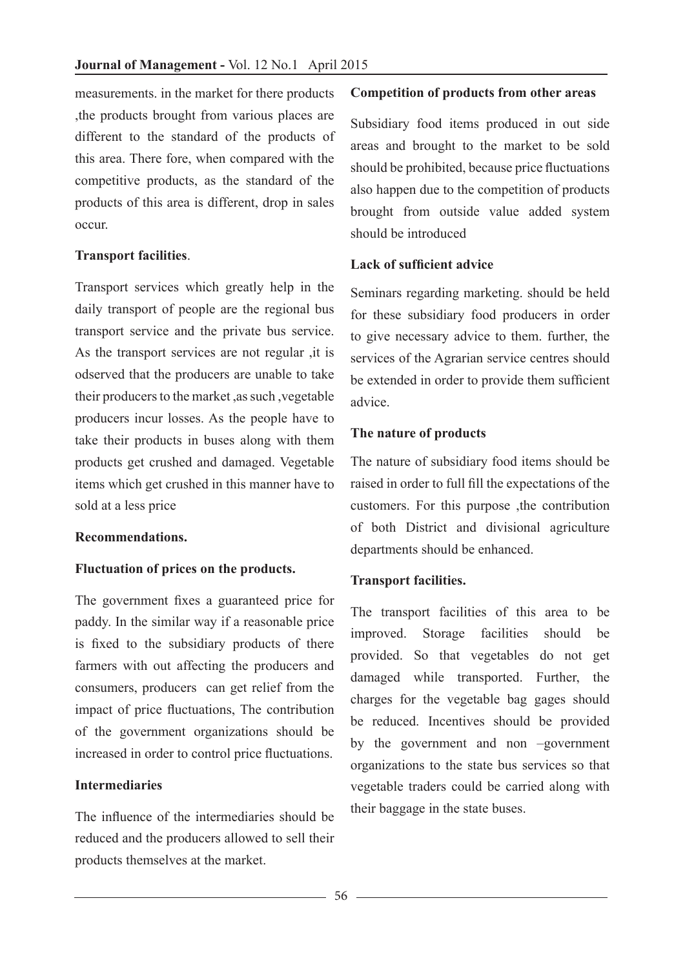measurements. in the market for there products ,the products brought from various places are different to the standard of the products of this area. There fore, when compared with the competitive products, as the standard of the products of this area is different, drop in sales occur.

### **Transport facilities**.

Transport services which greatly help in the daily transport of people are the regional bus transport service and the private bus service. As the transport services are not regular ,it is odserved that the producers are unable to take their producers to the market ,as such ,vegetable producers incur losses. As the people have to take their products in buses along with them products get crushed and damaged. Vegetable items which get crushed in this manner have to sold at a less price

### **Recommendations.**

### **Fluctuation of prices on the products.**

The government fixes a guaranteed price for paddy. In the similar way if a reasonable price is fixed to the subsidiary products of there farmers with out affecting the producers and consumers, producers can get relief from the impact of price fluctuations, The contribution of the government organizations should be increased in order to control price fluctuations.

### **Intermediaries**

The influence of the intermediaries should be reduced and the producers allowed to sell their products themselves at the market.

### **Competition of products from other areas**

Subsidiary food items produced in out side areas and brought to the market to be sold should be prohibited, because price fluctuations also happen due to the competition of products brought from outside value added system should be introduced

### **Lack of sufficient advice**

Seminars regarding marketing. should be held for these subsidiary food producers in order to give necessary advice to them. further, the services of the Agrarian service centres should be extended in order to provide them sufficient advice.

## **The nature of products**

The nature of subsidiary food items should be raised in order to full fill the expectations of the customers. For this purpose ,the contribution of both District and divisional agriculture departments should be enhanced.

### **Transport facilities.**

The transport facilities of this area to be improved. Storage facilities should be provided. So that vegetables do not get damaged while transported. Further, the charges for the vegetable bag gages should be reduced. Incentives should be provided by the government and non –government organizations to the state bus services so that vegetable traders could be carried along with their baggage in the state buses.